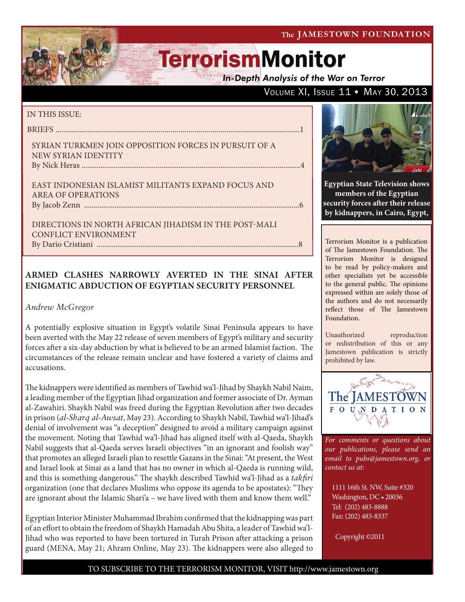VOLUME XI, ISSUE 11 . MAY 30, 2013

# **TerrorismMonitor**

In-Depth Analysis of the War on Terror

### IN THIS ISSUE:

briefs ...........................................................................................................................1

Syrian Turkmen Join Opposition Forces in Pursuit of a New Syrian Identity By Nick Heras ...................................................................................................................4

East Indonesian Islamist Militants Expand Focus and Area of Operations by Jacob Zenn .................................................................................................................6

Directions in North African Jihadism in the Post-Mali Conflict Environment By Dario Cristiani ..........................................................................................................8

### **ARMED CLASHES NARROWLY AVERTED IN THE SINAI AFTER ENIGMATIC ABDUCTION OF EGYPTIAN SECURITY PERSONNEL**

### *Andrew McGregor*

A potentially explosive situation in Egypt's volatile Sinai Peninsula appears to have been averted with the May 22 release of seven members of Egypt's military and security forces after a six-day abduction by what is believed to be an armed Islamist faction. The circumstances of the release remain unclear and have fostered a variety of claims and accusations.

The kidnappers were identified as members of Tawhid wa'l-Jihad by Shaykh Nabil Naim, a leading member of the Egyptian Jihad organization and former associate of Dr. Ayman al-Zawahiri. Shaykh Nabil was freed during the Egyptian Revolution after two decades in prison (*al-Sharq al-Awsat*, May 23). According to Shaykh Nabil, Tawhid wa'l-Jihad's denial of involvement was "a deception" designed to avoid a military campaign against the movement. Noting that Tawhid wa'l-Jihad has aligned itself with al-Qaeda, Shaykh Nabil suggests that al-Qaeda serves Israeli objectives "in an ignorant and foolish way" that promotes an alleged Israeli plan to resettle Gazans in the Sinai: "At present, the West and Israel look at Sinai as a land that has no owner in which al-Qaeda is running wild, and this is something dangerous." The shaykh described Tawhid wa'l-Jihad as a *takfiri* organization (one that declares Muslims who oppose its agenda to be apostates): "They are ignorant about the Islamic Shari'a – we have lived with them and know them well."

Egyptian Interior Minister Muhammad Ibrahim confirmed that the kidnapping was part of an effort to obtain the freedom of Shaykh Hamadah Abu Shita, a leader of Tawhid wa'l-Jihad who was reported to have been tortured in Turah Prison after attacking a prison guard (MENA, May 21; Ahram Online, May 23). The kidnappers were also alleged to



**Egyptian State Television shows members of the Egyptian security forces after their release by kidnappers, in Cairo, Egypt,** 

Terrorism Monitor is a publication of The Jamestown Foundation. The Terrorism Monitor is designed to be read by policy-makers and other specialists yet be accessible to the general public. The opinions expressed within are solely those of the authors and do not necessarily reflect those of The Jamestown Foundation.

Unauthorized reproduction or redistribution of this or any Jamestown publication is strictly prohibited by law.



*For comments or questions about our publications, please send an email to pubs@jamestown.org, or contact us at:* 

1111 16th St. NW, Suite #320 Washington, DC • 20036 Tel: (202) 483-8888 Fax: (202) 483-8337

Copyright ©2011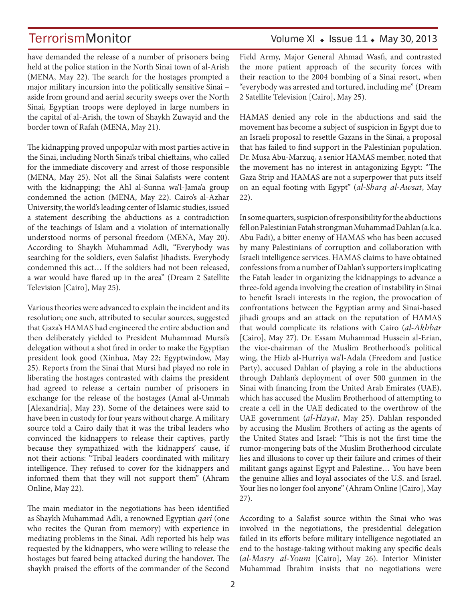have demanded the release of a number of prisoners being held at the police station in the North Sinai town of al-Arish (MENA, May 22). The search for the hostages prompted a major military incursion into the politically sensitive Sinai – aside from ground and aerial security sweeps over the North Sinai, Egyptian troops were deployed in large numbers in the capital of al-Arish, the town of Shaykh Zuwayid and the border town of Rafah (MENA, May 21).

The kidnapping proved unpopular with most parties active in the Sinai, including North Sinai's tribal chieftains, who called for the immediate discovery and arrest of those responsible (MENA, May 25). Not all the Sinai Salafists were content with the kidnapping; the Ahl al-Sunna wa'l-Jama'a group condemned the action (MENA, May 22). Cairo's al-Azhar University, the world's leading center of Islamic studies, issued a statement describing the abductions as a contradiction of the teachings of Islam and a violation of internationally understood norms of personal freedom (MENA, May 20). According to Shaykh Muhammad Adli, "Everybody was searching for the soldiers, even Salafist Jihadists. Everybody condemned this act… If the soldiers had not been released, a war would have flared up in the area" (Dream 2 Satellite Television [Cairo], May 25).

Various theories were advanced to explain the incident and its resolution; one such, attributed to secular sources, suggested that Gaza's HAMAS had engineered the entire abduction and then deliberately yielded to President Muhammad Mursi's delegation without a shot fired in order to make the Egyptian president look good (Xinhua, May 22; Egyptwindow, May 25). Reports from the Sinai that Mursi had played no role in liberating the hostages contrasted with claims the president had agreed to release a certain number of prisoners in exchange for the release of the hostages (Amal al-Ummah [Alexandria], May 23). Some of the detainees were said to have been in custody for four years without charge. A military source told a Cairo daily that it was the tribal leaders who convinced the kidnappers to release their captives, partly because they sympathized with the kidnappers' cause, if not their actions: "Tribal leaders coordinated with military intelligence. They refused to cover for the kidnappers and informed them that they will not support them" (Ahram Online, May 22).

The main mediator in the negotiations has been identified as Shaykh Muhammad Adli, a renowned Egyptian *qari* (one who recites the Quran from memory) with experience in mediating problems in the Sinai. Adli reported his help was requested by the kidnappers, who were willing to release the hostages but feared being attacked during the handover. The shaykh praised the efforts of the commander of the Second

## TerrorismMonitor Volume XI + Issue 11 + May 30, 2013

Field Army, Major General Ahmad Wasfi, and contrasted the more patient approach of the security forces with their reaction to the 2004 bombing of a Sinai resort, when "everybody was arrested and tortured, including me" (Dream 2 Satellite Television [Cairo], May 25).

HAMAS denied any role in the abductions and said the movement has become a subject of suspicion in Egypt due to an Israeli proposal to resettle Gazans in the Sinai, a proposal that has failed to find support in the Palestinian population. Dr. Musa Abu-Marzuq, a senior HAMAS member, noted that the movement has no interest in antagonizing Egypt: "The Gaza Strip and HAMAS are not a superpower that puts itself on an equal footing with Egypt" (*al-Sharq al-Awsat*, May 22).

In some quarters, suspicion of responsibility for the abductions fell on Palestinian Fatah strongman Muhammad Dahlan (a.k.a. Abu Fadi), a bitter enemy of HAMAS who has been accused by many Palestinians of corruption and collaboration with Israeli intelligence services. HAMAS claims to have obtained confessions from a number of Dahlan's supporters implicating the Fatah leader in organizing the kidnappings to advance a three-fold agenda involving the creation of instability in Sinai to benefit Israeli interests in the region, the provocation of confrontations between the Egyptian army and Sinai-based jihadi groups and an attack on the reputation of HAMAS that would complicate its relations with Cairo (*al-Akhbar*  [Cairo], May 27). Dr. Essam Muhammad Hussein al-Erian, the vice-chairman of the Muslim Brotherhood's political wing, the Hizb al-Hurriya wa'l-Adala (Freedom and Justice Party), accused Dahlan of playing a role in the abductions through Dahlan's deployment of over 500 gunmen in the Sinai with financing from the United Arab Emirates (UAE), which has accused the Muslim Brotherhood of attempting to create a cell in the UAE dedicated to the overthrow of the UAE government (*al-Hayat*, May 25). Dahlan responded by accusing the Muslim Brothers of acting as the agents of the United States and Israel: "This is not the first time the rumor-mongering bats of the Muslim Brotherhood circulate lies and illusions to cover up their failure and crimes of their militant gangs against Egypt and Palestine… You have been the genuine allies and loyal associates of the U.S. and Israel. Your lies no longer fool anyone" (Ahram Online [Cairo], May 27).

According to a Salafist source within the Sinai who was involved in the negotiations, the presidential delegation failed in its efforts before military intelligence negotiated an end to the hostage-taking without making any specific deals (*al-Masry al-Youm* [Cairo], May 26). Interior Minister Muhammad Ibrahim insists that no negotiations were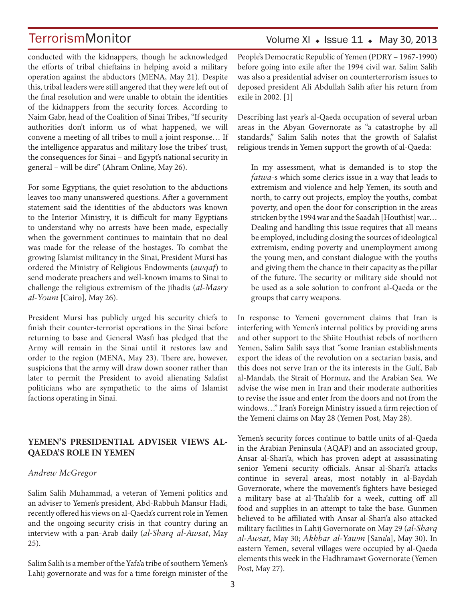conducted with the kidnappers, though he acknowledged the efforts of tribal chieftains in helping avoid a military operation against the abductors (MENA, May 21). Despite this, tribal leaders were still angered that they were left out of the final resolution and were unable to obtain the identities of the kidnappers from the security forces. According to Naim Gabr, head of the Coalition of Sinai Tribes, "If security authorities don't inform us of what happened, we will convene a meeting of all tribes to mull a joint response… If the intelligence apparatus and military lose the tribes' trust, the consequences for Sinai – and Egypt's national security in general – will be dire" (Ahram Online, May 26).

For some Egyptians, the quiet resolution to the abductions leaves too many unanswered questions. After a government statement said the identities of the abductors was known to the Interior Ministry, it is difficult for many Egyptians to understand why no arrests have been made, especially when the government continues to maintain that no deal was made for the release of the hostages. To combat the growing Islamist militancy in the Sinai, President Mursi has ordered the Ministry of Religious Endowments (*awqaf*) to send moderate preachers and well-known imams to Sinai to challenge the religious extremism of the jihadis (*al-Masry al-Youm* [Cairo], May 26).

President Mursi has publicly urged his security chiefs to finish their counter-terrorist operations in the Sinai before returning to base and General Wasfi has pledged that the Army will remain in the Sinai until it restores law and order to the region (MENA, May 23). There are, however, suspicions that the army will draw down sooner rather than later to permit the President to avoid alienating Salafist politicians who are sympathetic to the aims of Islamist factions operating in Sinai.

### **YEMEN'S PRESIDENTIAL ADVISER VIEWS AL-QAEDA'S ROLE IN YEMEN**

#### *Andrew McGregor*

Salim Salih Muhammad, a veteran of Yemeni politics and an adviser to Yemen's president, Abd-Rabbuh Mansur Hadi, recently offered his views on al-Qaeda's current role in Yemen and the ongoing security crisis in that country during an interview with a pan-Arab daily (*al-Sharq al-Awsat*, May 25).

Salim Salih is a member of the Yafa'a tribe of southern Yemen's Lahij governorate and was for a time foreign minister of the

## Volume XI  $\bullet$  Issue 11  $\bullet$  May 30, 2013

People's Democratic Republic of Yemen (PDRY – 1967-1990) before going into exile after the 1994 civil war. Salim Salih was also a presidential adviser on counterterrorism issues to deposed president Ali Abdullah Salih after his return from exile in 2002. [1]

Describing last year's al-Qaeda occupation of several urban areas in the Abyan Governorate as "a catastrophe by all standards," Salim Salih notes that the growth of Salafist religious trends in Yemen support the growth of al-Qaeda:

In my assessment, what is demanded is to stop the *fatwa*-s which some clerics issue in a way that leads to extremism and violence and help Yemen, its south and north, to carry out projects, employ the youths, combat poverty, and open the door for conscription in the areas stricken by the 1994 war and the Saadah [Houthist] war… Dealing and handling this issue requires that all means be employed, including closing the sources of ideological extremism, ending poverty and unemployment among the young men, and constant dialogue with the youths and giving them the chance in their capacity as the pillar of the future. The security or military side should not be used as a sole solution to confront al-Qaeda or the groups that carry weapons.

In response to Yemeni government claims that Iran is interfering with Yemen's internal politics by providing arms and other support to the Shiite Houthist rebels of northern Yemen, Salim Salih says that "some Iranian establishments export the ideas of the revolution on a sectarian basis, and this does not serve Iran or the its interests in the Gulf, Bab al-Mandab, the Strait of Hormuz, and the Arabian Sea. We advise the wise men in Iran and their moderate authorities to revise the issue and enter from the doors and not from the windows…" Iran's Foreign Ministry issued a firm rejection of the Yemeni claims on May 28 (Yemen Post, May 28).

Yemen's security forces continue to battle units of al-Qaeda in the Arabian Peninsula (AQAP) and an associated group, Ansar al-Shari'a, which has proven adept at assassinating senior Yemeni security officials. Ansar al-Shari'a attacks continue in several areas, most notably in al-Baydah Governorate, where the movement's fighters have besieged a military base at al-Tha'alib for a week, cutting off all food and supplies in an attempt to take the base. Gunmen believed to be affiliated with Ansar al-Shari'a also attacked military facilities in Lahij Governorate on May 29 (*al-Sharq al-Awsat*, May 30; *Akhbar al-Yawm* [Sana'a], May 30). In eastern Yemen, several villages were occupied by al-Qaeda elements this week in the Hadhramawt Governorate (Yemen Post, May 27).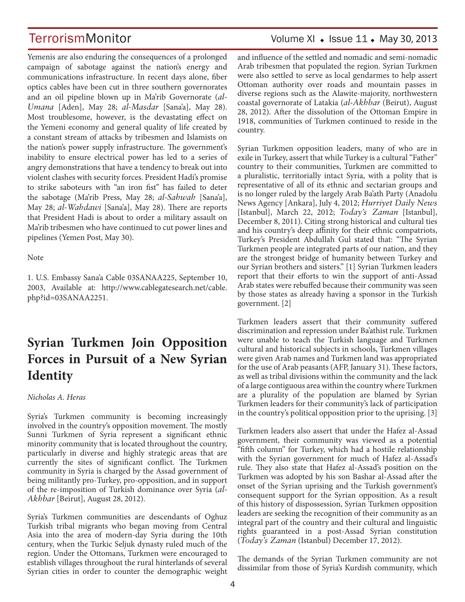Yemenis are also enduring the consequences of a prolonged campaign of sabotage against the nation's energy and communications infrastructure. In recent days alone, fiber optics cables have been cut in three southern governorates and an oil pipeline blown up in Ma'rib Governorate (*al-Umana* [Aden], May 28; *al-Masdar* [Sana'a], May 28). Most troublesome, however, is the devastating effect on the Yemeni economy and general quality of life created by a constant stream of attacks by tribesmen and Islamists on the nation's power supply infrastructure. The government's inability to ensure electrical power has led to a series of angry demonstrations that have a tendency to break out into violent clashes with security forces. President Hadi's promise to strike saboteurs with "an iron fist" has failed to deter the sabotage (Ma'rib Press, May 28; *al-Sahwah* [Sana'a], May 28; *al-Wahdawi* [Sana'a], May 28). There are reports that President Hadi is about to order a military assault on Ma'rib tribesmen who have continued to cut power lines and pipelines (Yemen Post, May 30).

Note

1. U.S. Embassy Sana'a Cable 03SANAA225, September 10, 2003, Available at: http://www.cablegatesearch.net/cable. php?id=03SANAA2251.

## **Syrian Turkmen Join Opposition Forces in Pursuit of a New Syrian Identity**

*Nicholas A. Heras*

Syria's Turkmen community is becoming increasingly involved in the country's opposition movement. The mostly Sunni Turkmen of Syria represent a significant ethnic minority community that is located throughout the country, particularly in diverse and highly strategic areas that are currently the sites of significant conflict. The Turkmen community in Syria is charged by the Assad government of being militantly pro-Turkey, pro-opposition, and in support of the re-imposition of Turkish dominance over Syria (*al-Akhbar* [Beirut], August 28, 2012).

Syria's Turkmen communities are descendants of Oghuz Turkish tribal migrants who began moving from Central Asia into the area of modern-day Syria during the 10th century, when the Turkic Seljuk dynasty ruled much of the region. Under the Ottomans, Turkmen were encouraged to establish villages throughout the rural hinterlands of several Syrian cities in order to counter the demographic weight and influence of the settled and nomadic and semi-nomadic Arab tribesmen that populated the region. Syrian Turkmen were also settled to serve as local gendarmes to help assert Ottoman authority over roads and mountain passes in diverse regions such as the Alawite-majority, northwestern coastal governorate of Latakia (*al-Akhbar* (Beirut), August 28, 2012). After the dissolution of the Ottoman Empire in 1918, communities of Turkmen continued to reside in the country.

Syrian Turkmen opposition leaders, many of who are in exile in Turkey, assert that while Turkey is a cultural "Father" country to their communities, Turkmen are committed to a pluralistic, territorially intact Syria, with a polity that is representative of all of its ethnic and sectarian groups and is no longer ruled by the largely Arab Ba'ath Party (Anadolu News Agency [Ankara], July 4, 2012; *Hurriyet Daily News*  [Istanbul], March 22, 2012; *Today's Zaman* [Istanbul], December 8, 2011). Citing strong historical and cultural ties and his country's deep affinity for their ethnic compatriots, Turkey's President Abdullah Gul stated that: "The Syrian Turkmen people are integrated parts of our nation, and they are the strongest bridge of humanity between Turkey and our Syrian brothers and sisters." [1] Syrian Turkmen leaders report that their efforts to win the support of anti-Assad Arab states were rebuffed because their community was seen by those states as already having a sponsor in the Turkish government. [2]

Turkmen leaders assert that their community suffered discrimination and repression under Ba'athist rule. Turkmen were unable to teach the Turkish language and Turkmen cultural and historical subjects in schools, Turkmen villages were given Arab names and Turkmen land was appropriated for the use of Arab peasants (AFP, January 31). These factors, as well as tribal divisions within the community and the lack of a large contiguous area within the country where Turkmen are a plurality of the population are blamed by Syrian Turkmen leaders for their community's lack of participation in the country's political opposition prior to the uprising. [3]

Turkmen leaders also assert that under the Hafez al-Assad government, their community was viewed as a potential "fifth column" for Turkey, which had a hostile relationship with the Syrian government for much of Hafez al-Assad's rule. They also state that Hafez al-Assad's position on the Turkmen was adopted by his son Bashar al-Assad after the onset of the Syrian uprising and the Turkish government's consequent support for the Syrian opposition. As a result of this history of dispossession, Syrian Turkmen opposition leaders are seeking the recognition of their community as an integral part of the country and their cultural and linguistic rights guaranteed in a post-Assad Syrian constitution (*Today's Zaman* (Istanbul) December 17, 2012).

The demands of the Syrian Turkmen community are not dissimilar from those of Syria's Kurdish community, which

## TerrorismMonitor Volume XI • Issue 11 • May 30, 2013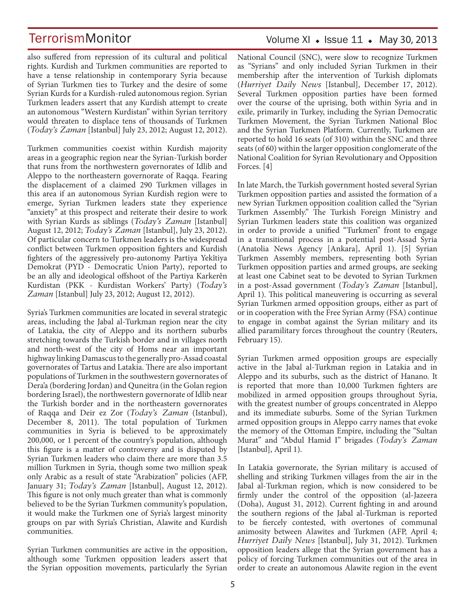also suffered from repression of its cultural and political rights. Kurdish and Turkmen communities are reported to have a tense relationship in contemporary Syria because of Syrian Turkmen ties to Turkey and the desire of some Syrian Kurds for a Kurdish-ruled autonomous region. Syrian Turkmen leaders assert that any Kurdish attempt to create an autonomous "Western Kurdistan" within Syrian territory would threaten to displace tens of thousands of Turkmen (*Today's Zaman* [Istanbul] July 23, 2012; August 12, 2012).

Turkmen communities coexist within Kurdish majority areas in a geographic region near the Syrian-Turkish border that runs from the northwestern governorates of Idlib and Aleppo to the northeastern governorate of Raqqa. Fearing the displacement of a claimed 290 Turkmen villages in this area if an autonomous Syrian Kurdish region were to emerge, Syrian Turkmen leaders state they experience "anxiety" at this prospect and reiterate their desire to work with Syrian Kurds as siblings (*Today's Zaman* [Istanbul] August 12, 2012; *Today's Zaman* [Istanbul], July 23, 2012). Of particular concern to Turkmen leaders is the widespread conflict between Turkmen opposition fighters and Kurdish fighters of the aggressively pro-autonomy Partiya Yekîtiya Demokrat (PYD - Democratic Union Party), reported to be an ally and ideological offshoot of the Partiya Karkerên Kurdistan (PKK - Kurdistan Workers' Party) (*Today's Zaman* [Istanbul] July 23, 2012; August 12, 2012).

Syria's Turkmen communities are located in several strategic areas, including the Jabal al-Turkman region near the city of Latakia, the city of Aleppo and its northern suburbs stretching towards the Turkish border and in villages north and north-west of the city of Homs near an important highway linking Damascus to the generally pro-Assad coastal governorates of Tartus and Latakia. There are also important populations of Turkmen in the southwestern governorates of Dera'a (bordering Jordan) and Quneitra (in the Golan region bordering Israel), the northwestern governorate of Idlib near the Turkish border and in the northeastern governorates of Raqqa and Deir ez Zor (*Today's Zaman* (Istanbul), December 8, 2011). The total population of Turkmen communities in Syria is believed to be approximately 200,000, or 1 percent of the country's population, although this figure is a matter of controversy and is disputed by Syrian Turkmen leaders who claim there are more than 3.5 million Turkmen in Syria, though some two million speak only Arabic as a result of state "Arabization" policies (AFP, January 31; *Today's Zaman* [Istanbul], August 12, 2012). This figure is not only much greater than what is commonly believed to be the Syrian Turkmen community's population, it would make the Turkmen one of Syria's largest minority groups on par with Syria's Christian, Alawite and Kurdish communities.

Syrian Turkmen communities are active in the opposition, although some Turkmen opposition leaders assert that the Syrian opposition movements, particularly the Syrian

## Volume XI  $\bullet$  Issue 11  $\bullet$  May 30, 2013

National Council (SNC), were slow to recognize Turkmen as "Syrians" and only included Syrian Turkmen in their membership after the intervention of Turkish diplomats (*Hurriyet Daily News* [Istanbul], December 17, 2012). Several Turkmen opposition parties have been formed over the course of the uprising, both within Syria and in exile, primarily in Turkey, including the Syrian Democratic Turkmen Movement, the Syrian Turkmen National Bloc and the Syrian Turkmen Platform. Currently, Turkmen are reported to hold 16 seats (of 310) within the SNC and three seats (of 60) within the larger opposition conglomerate of the National Coalition for Syrian Revolutionary and Opposition Forces. [4]

In late March, the Turkish government hosted several Syrian Turkmen opposition parties and assisted the formation of a new Syrian Turkmen opposition coalition called the "Syrian Turkmen Assembly." The Turkish Foreign Ministry and Syrian Turkmen leaders state this coalition was organized in order to provide a unified "Turkmen" front to engage in a transitional process in a potential post-Assad Syria (Anatolia News Agency [Ankara], April 1). [5] Syrian Turkmen Assembly members, representing both Syrian Turkmen opposition parties and armed groups, are seeking at least one Cabinet seat to be devoted to Syrian Turkmen in a post-Assad government (*Today's Zaman* [Istanbul], April 1). This political maneuvering is occurring as several Syrian Turkmen armed opposition groups, either as part of or in cooperation with the Free Syrian Army (FSA) continue to engage in combat against the Syrian military and its allied paramilitary forces throughout the country (Reuters, February 15).

Syrian Turkmen armed opposition groups are especially active in the Jabal al-Turkman region in Latakia and in Aleppo and its suburbs, such as the district of Hanano. It is reported that more than 10,000 Turkmen fighters are mobilized in armed opposition groups throughout Syria, with the greatest number of groups concentrated in Aleppo and its immediate suburbs. Some of the Syrian Turkmen armed opposition groups in Aleppo carry names that evoke the memory of the Ottoman Empire, including the "Sultan Murat" and "Abdul Hamid I" brigades (*Today's Zaman*  [Istanbul], April 1).

In Latakia governorate, the Syrian military is accused of shelling and striking Turkmen villages from the air in the Jabal al-Turkman region, which is now considered to be firmly under the control of the opposition (al-Jazeera (Doha), August 31, 2012). Current fighting in and around the southern regions of the Jabal al-Turkman is reported to be fiercely contested, with overtones of communal animosity between Alawites and Turkmen (AFP, April 4; *Hurriyet Daily News* [Istanbul], July 31, 2012). Turkmen opposition leaders allege that the Syrian government has a policy of forcing Turkmen communities out of the area in order to create an autonomous Alawite region in the event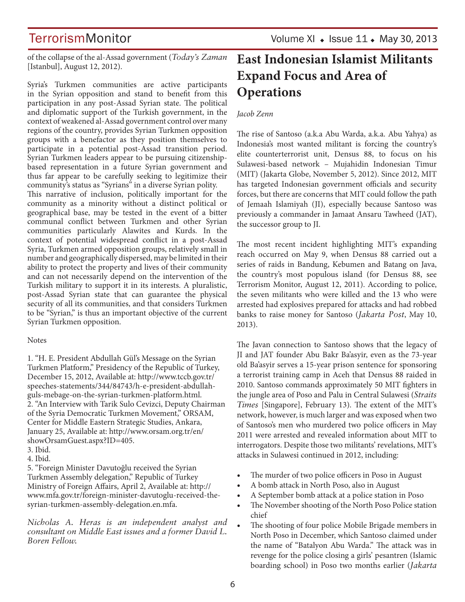TerrorismMonitor Volume XI • Issue 11 • May 30, 2013

of the collapse of the al-Assad government (*Today's Zaman* [Istanbul], August 12, 2012).

Syria's Turkmen communities are active participants in the Syrian opposition and stand to benefit from this participation in any post-Assad Syrian state. The political and diplomatic support of the Turkish government, in the context of weakened al-Assad government control over many regions of the country, provides Syrian Turkmen opposition groups with a benefactor as they position themselves to participate in a potential post-Assad transition period. Syrian Turkmen leaders appear to be pursuing citizenshipbased representation in a future Syrian government and thus far appear to be carefully seeking to legitimize their community's status as "Syrians" in a diverse Syrian polity.

This narrative of inclusion, politically important for the community as a minority without a distinct political or geographical base, may be tested in the event of a bitter communal conflict between Turkmen and other Syrian communities particularly Alawites and Kurds. In the context of potential widespread conflict in a post-Assad Syria, Turkmen armed opposition groups, relatively small in number and geographically dispersed, may be limited in their ability to protect the property and lives of their community and can not necessarily depend on the intervention of the Turkish military to support it in its interests. A pluralistic, post-Assad Syrian state that can guarantee the physical security of all its communities, and that considers Turkmen to be "Syrian," is thus an important objective of the current Syrian Turkmen opposition.

#### **Notes**

1. "H. E. President Abdullah Gül's Message on the Syrian Turkmen Platform," Presidency of the Republic of Turkey, December 15, 2012, Available at: http://www.tccb.gov.tr/ speeches-statements/344/84743/h-e-president-abdullahguls-mebage-on-the-syrian-turkmen-platform.html. 2. "An Interview with Tarik Sulo Cevizci, Deputy Chairman of the Syria Democratic Turkmen Movement," ORSAM, Center for Middle Eastern Strategic Studies, Ankara, January 25, Available at: http://www.orsam.org.tr/en/ showOrsamGuest.aspx?ID=405.

3. Ibid.

4. Ibid.

5. "Foreign Minister Davutoğlu received the Syrian Turkmen Assembly delegation," Republic of Turkey Ministry of Foreign Affairs, April 2, Available at: http:// www.mfa.gov.tr/foreign-minister-davutoglu-received-thesyrian-turkmen-assembly-delegation.en.mfa.

*Nicholas A. Heras is an independent analyst and consultant on Middle East issues and a former David L. Boren Fellow.*

## **East Indonesian Islamist Militants Expand Focus and Area of Operations**

### *Jacob Zenn*

The rise of Santoso (a.k.a Abu Warda, a.k.a. Abu Yahya) as Indonesia's most wanted militant is forcing the country's elite counterterrorist unit, Densus 88, to focus on his Sulawesi-based network – Mujahidin Indonesian Timur (MIT) (Jakarta Globe, November 5, 2012). Since 2012, MIT has targeted Indonesian government officials and security forces, but there are concerns that MIT could follow the path of Jemaah Islamiyah (JI), especially because Santoso was previously a commander in Jamaat Ansaru Tawheed (JAT), the successor group to JI.

The most recent incident highlighting MIT's expanding reach occurred on May 9, when Densus 88 carried out a series of raids in Bandung, Kebumen and Batang on Java, the country's most populous island (for Densus 88, see Terrorism Monitor, August 12, 2011). According to police, the seven militants who were killed and the 13 who were arrested had explosives prepared for attacks and had robbed banks to raise money for Santoso (*Jakarta Post*, May 10, 2013).

The Javan connection to Santoso shows that the legacy of JI and JAT founder Abu Bakr Ba'asyir, even as the 73-year old Ba'asyir serves a 15-year prison sentence for sponsoring a terrorist training camp in Aceh that Densus 88 raided in 2010. Santoso commands approximately 50 MIT fighters in the jungle area of Poso and Palu in Central Sulawesi (*Straits Times* [Singapore], February 13). The extent of the MIT's network, however, is much larger and was exposed when two of Santoso's men who murdered two police officers in May 2011 were arrested and revealed information about MIT to interrogators. Despite those two militants' revelations, MIT's attacks in Sulawesi continued in 2012, including:

- The murder of two police officers in Poso in August
- A bomb attack in North Poso, also in August
- A September bomb attack at a police station in Poso
- The November shooting of the North Poso Police station chief
- The shooting of four police Mobile Brigade members in North Poso in December, which Santoso claimed under the name of "Batalyon Abu Warda." The attack was in revenge for the police closing a girls' pesantren (Islamic boarding school) in Poso two months earlier (*Jakarta*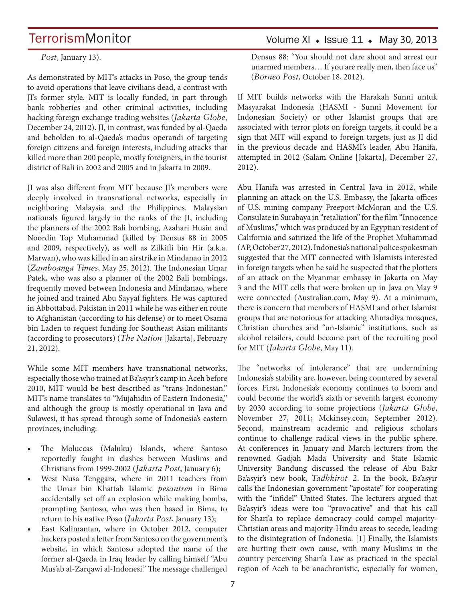*Post*, January 13).

As demonstrated by MIT's attacks in Poso, the group tends to avoid operations that leave civilians dead, a contrast with JI's former style. MIT is locally funded, in part through bank robberies and other criminal activities, including hacking foreign exchange trading websites (*Jakarta Globe*, December 24, 2012). JI, in contrast, was funded by al-Qaeda and beholden to al-Qaeda's modus operandi of targeting foreign citizens and foreign interests, including attacks that killed more than 200 people, mostly foreigners, in the tourist district of Bali in 2002 and 2005 and in Jakarta in 2009.

JI was also different from MIT because JI's members were deeply involved in transnational networks, especially in neighboring Malaysia and the Philippines. Malaysian nationals figured largely in the ranks of the JI, including the planners of the 2002 Bali bombing, Azahari Husin and Noordin Top Muhammad (killed by Densus 88 in 2005 and 2009, respectively), as well as Zilkifli bin Hir (a.k.a. Marwan), who was killed in an airstrike in Mindanao in 2012 (*Zamboanga Times*, May 25, 2012). The Indonesian Umar Patek, who was also a planner of the 2002 Bali bombings, frequently moved between Indonesia and Mindanao, where he joined and trained Abu Sayyaf fighters. He was captured in Abbottabad, Pakistan in 2011 while he was either en route to Afghanistan (according to his defense) or to meet Osama bin Laden to request funding for Southeast Asian militants (according to prosecutors) (*The Nation* [Jakarta], February 21, 2012).

While some MIT members have transnational networks, especially those who trained at Ba'asyir's camp in Aceh before 2010, MIT would be best described as "trans-Indonesian." MIT's name translates to "Mujahidin of Eastern Indonesia," and although the group is mostly operational in Java and Sulawesi, it has spread through some of Indonesia's eastern provinces, including:

- The Moluccas (Maluku) Islands, where Santoso reportedly fought in clashes between Muslims and Christians from 1999-2002 (*Jakarta Post*, January 6);
- West Nusa Tenggara, where in 2011 teachers from the Umar bin Khattab Islamic *pesantren* in Bima accidentally set off an explosion while making bombs, prompting Santoso, who was then based in Bima, to return to his native Poso (*Jakarta Post*, January 13);
- East Kalimantan, where in October 2012, computer hackers posted a letter from Santoso on the government's website, in which Santoso adopted the name of the former al-Qaeda in Iraq leader by calling himself "Abu Mus'ab al-Zarqawi al-Indonesi." The message challenged

## Volume XI  $\bullet$  Issue 11  $\bullet$  May 30, 2013

Densus 88: "You should not dare shoot and arrest our unarmed members… If you are really men, then face us" (*Borneo Post*, October 18, 2012).

If MIT builds networks with the Harakah Sunni untuk Masyarakat Indonesia (HASMI - Sunni Movement for Indonesian Society) or other Islamist groups that are associated with terror plots on foreign targets, it could be a sign that MIT will expand to foreign targets, just as JI did in the previous decade and HASMI's leader, Abu Hanifa, attempted in 2012 (Salam Online [Jakarta], December 27, 2012).

Abu Hanifa was arrested in Central Java in 2012, while planning an attack on the U.S. Embassy, the Jakarta offices of U.S. mining company Freeport-McMoran and the U.S. Consulate in Surabaya in "retaliation" for the film "Innocence of Muslims," which was produced by an Egyptian resident of California and satirized the life of the Prophet Muhammad (AP, October 27, 2012). Indonesia's national police spokesman suggested that the MIT connected with Islamists interested in foreign targets when he said he suspected that the plotters of an attack on the Myanmar embassy in Jakarta on May 3 and the MIT cells that were broken up in Java on May 9 were connected (Australian.com, May 9). At a minimum, there is concern that members of HASMI and other Islamist groups that are notorious for attacking Ahmadiya mosques, Christian churches and "un-Islamic" institutions, such as alcohol retailers, could become part of the recruiting pool for MIT (*Jakarta Globe*, May 11).

The "networks of intolerance" that are undermining Indonesia's stability are, however, being countered by several forces. First, Indonesia's economy continues to boom and could become the world's sixth or seventh largest economy by 2030 according to some projections (*Jakarta Globe*, November 27, 2011; Mckinsey.com, September 2012). Second, mainstream academic and religious scholars continue to challenge radical views in the public sphere. At conferences in January and March lecturers from the renowned Gadjah Mada University and State Islamic University Bandung discussed the release of Abu Bakr Ba'asyir's new book, *Tadhkirot 2*. In the book, Ba'asyir calls the Indonesian government "apostate" for cooperating with the "infidel" United States. The lecturers argued that Ba'asyir's ideas were too "provocative" and that his call for Shari'a to replace democracy could compel majority-Christian areas and majority-Hindu areas to secede, leading to the disintegration of Indonesia. [1] Finally, the Islamists are hurting their own cause, with many Muslims in the country perceiving Shari'a Law as practiced in the special region of Aceh to be anachronistic, especially for women,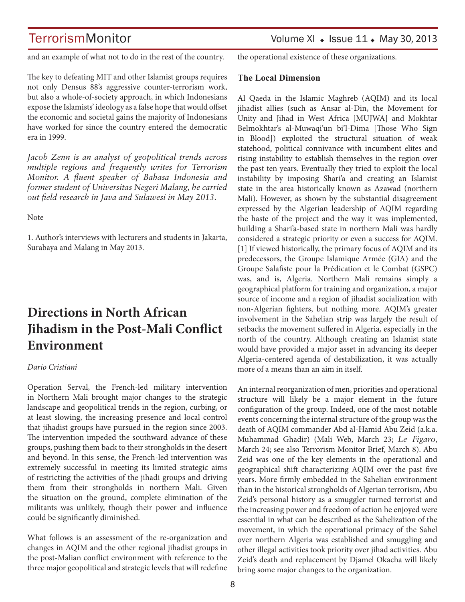and an example of what not to do in the rest of the country.

The key to defeating MIT and other Islamist groups requires not only Densus 88's aggressive counter-terrorism work, but also a whole-of-society approach, in which Indonesians expose the Islamists' ideology as a false hope that would offset the economic and societal gains the majority of Indonesians have worked for since the country entered the democratic era in 1999.

*Jacob Zenn is an analyst of geopolitical trends across multiple regions and frequently writes for Terrorism Monitor. A fluent speaker of Bahasa Indonesia and former student of Universitas Negeri Malang, he carried out field research in Java and Sulawesi in May 2013.* 

Note

1. Author's interviews with lecturers and students in Jakarta, Surabaya and Malang in May 2013.

## **Directions in North African Jihadism in the Post-Mali Conflict Environment**

#### *Dario Cristiani*

Operation Serval, the French-led military intervention in Northern Mali brought major changes to the strategic landscape and geopolitical trends in the region, curbing, or at least slowing, the increasing presence and local control that jihadist groups have pursued in the region since 2003. The intervention impeded the southward advance of these groups, pushing them back to their strongholds in the desert and beyond. In this sense, the French-led intervention was extremely successful in meeting its limited strategic aims of restricting the activities of the jihadi groups and driving them from their strongholds in northern Mali. Given the situation on the ground, complete elimination of the militants was unlikely, though their power and influence could be significantly diminished.

What follows is an assessment of the re-organization and changes in AQIM and the other regional jihadist groups in the post-Malian conflict environment with reference to the three major geopolitical and strategic levels that will redefine the operational existence of these organizations.

#### **The Local Dimension**

Al Qaeda in the Islamic Maghreb (AQIM) and its local jihadist allies (such as Ansar al-Din, the Movement for Unity and Jihad in West Africa [MUJWA] and Mokhtar Belmokhtar's al-Muwaqi'un bi'l-Dima [Those Who Sign in Blood]) exploited the structural situation of weak statehood, political connivance with incumbent elites and rising instability to establish themselves in the region over the past ten years. Eventually they tried to exploit the local instability by imposing Shari'a and creating an Islamist state in the area historically known as Azawad (northern Mali). However, as shown by the substantial disagreement expressed by the Algerian leadership of AQIM regarding the haste of the project and the way it was implemented, building a Shari'a-based state in northern Mali was hardly considered a strategic priority or even a success for AQIM. [1] If viewed historically, the primary focus of AQIM and its predecessors, the Groupe Islamique Armée (GIA) and the Groupe Salafiste pour la Prédication et le Combat (GSPC) was, and is, Algeria. Northern Mali remains simply a geographical platform for training and organization, a major source of income and a region of jihadist socialization with non-Algerian fighters, but nothing more. AQIM's greater involvement in the Sahelian strip was largely the result of setbacks the movement suffered in Algeria, especially in the north of the country. Although creating an Islamist state would have provided a major asset in advancing its deeper Algeria-centered agenda of destabilization, it was actually more of a means than an aim in itself.

An internal reorganization of men, priorities and operational structure will likely be a major element in the future configuration of the group. Indeed, one of the most notable events concerning the internal structure of the group was the death of AQIM commander Abd al-Hamid Abu Zeid (a.k.a. Muhammad Ghadir) (Mali Web, March 23; *Le Figaro*, March 24; see also Terrorism Monitor Brief, March 8). Abu Zeid was one of the key elements in the operational and geographical shift characterizing AQIM over the past five years. More firmly embedded in the Sahelian environment than in the historical strongholds of Algerian terrorism, Abu Zeid's personal history as a smuggler turned terrorist and the increasing power and freedom of action he enjoyed were essential in what can be described as the Sahelization of the movement, in which the operational primacy of the Sahel over northern Algeria was established and smuggling and other illegal activities took priority over jihad activities. Abu Zeid's death and replacement by Djamel Okacha will likely bring some major changes to the organization.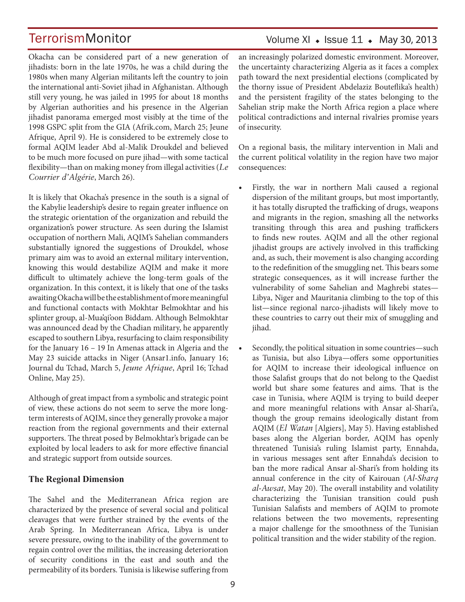## Volume XI  $\bullet$  Issue 11  $\bullet$  May 30, 2013

Okacha can be considered part of a new generation of jihadists: born in the late 1970s, he was a child during the 1980s when many Algerian militants left the country to join the international anti-Soviet jihad in Afghanistan. Although still very young, he was jailed in 1995 for about 18 months by Algerian authorities and his presence in the Algerian jihadist panorama emerged most visibly at the time of the 1998 GSPC split from the GIA (Afrik.com, March 25; Jeune Afrique, April 9). He is considered to be extremely close to formal AQIM leader Abd al-Malik Droukdel and believed to be much more focused on pure jihad—with some tactical flexibility—than on making money from illegal activities (*Le Courrier d'Algérie*, March 26).

It is likely that Okacha's presence in the south is a signal of the Kabylie leadership's desire to regain greater influence on the strategic orientation of the organization and rebuild the organization's power structure. As seen during the Islamist occupation of northern Mali, AQIM's Sahelian commanders substantially ignored the suggestions of Droukdel, whose primary aim was to avoid an external military intervention, knowing this would destabilize AQIM and make it more difficult to ultimately achieve the long-term goals of the organization. In this context, it is likely that one of the tasks awaiting Okacha will be the establishment of more meaningful and functional contacts with Mokhtar Belmokhtar and his splinter group, al-Mua'qi'oon Biddam. Although Belmokhtar was announced dead by the Chadian military, he apparently escaped to southern Libya, resurfacing to claim responsibility for the January 16 – 19 In Amenas attack in Algeria and the May 23 suicide attacks in Niger (Ansar1.info, January 16; Journal du Tchad, March 5, *Jeune Afrique*, April 16; Tchad Online, May 25).

Although of great impact from a symbolic and strategic point of view, these actions do not seem to serve the more longterm interests of AQIM, since they generally provoke a major reaction from the regional governments and their external supporters. The threat posed by Belmokhtar's brigade can be exploited by local leaders to ask for more effective financial and strategic support from outside sources.

#### **The Regional Dimension**

The Sahel and the Mediterranean Africa region are characterized by the presence of several social and political cleavages that were further strained by the events of the Arab Spring. In Mediterranean Africa, Libya is under severe pressure, owing to the inability of the government to regain control over the militias, the increasing deterioration of security conditions in the east and south and the permeability of its borders. Tunisia is likewise suffering from an increasingly polarized domestic environment. Moreover, the uncertainty characterizing Algeria as it faces a complex path toward the next presidential elections (complicated by the thorny issue of President Abdelaziz Bouteflika's health) and the persistent fragility of the states belonging to the Sahelian strip make the North Africa region a place where political contradictions and internal rivalries promise years of insecurity.

On a regional basis, the military intervention in Mali and the current political volatility in the region have two major consequences:

- Firstly, the war in northern Mali caused a regional dispersion of the militant groups, but most importantly, it has totally disrupted the trafficking of drugs, weapons and migrants in the region, smashing all the networks transiting through this area and pushing traffickers to finds new routes. AQIM and all the other regional jihadist groups are actively involved in this trafficking and, as such, their movement is also changing according to the redefinition of the smuggling net. This bears some strategic consequences, as it will increase further the vulnerability of some Sahelian and Maghrebi states— Libya, Niger and Mauritania climbing to the top of this list—since regional narco-jihadists will likely move to these countries to carry out their mix of smuggling and jihad.
- Secondly, the political situation in some countries—such as Tunisia, but also Libya—offers some opportunities for AQIM to increase their ideological influence on those Salafist groups that do not belong to the Qaedist world but share some features and aims. That is the case in Tunisia, where AQIM is trying to build deeper and more meaningful relations with Ansar al-Shari'a, though the group remains ideologically distant from AQIM (*El Watan* [Algiers], May 5). Having established bases along the Algerian border, AQIM has openly threatened Tunisia's ruling Islamist party, Ennahda, in various messages sent after Ennahda's decision to ban the more radical Ansar al-Shari's from holding its annual conference in the city of Kairouan (*Al-Sharq al-Awsat*, May 20). The overall instability and volatility characterizing the Tunisian transition could push Tunisian Salafists and members of AQIM to promote relations between the two movements, representing a major challenge for the smoothness of the Tunisian political transition and the wider stability of the region.